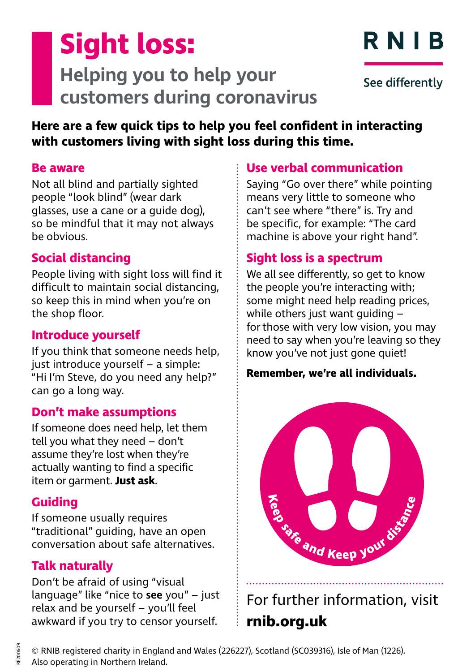# **Sight loss: Helping you to help your customers during coronavirus**



See differently

**Here are a few quick tips to help you feel confident in interacting with customers living with sight loss during this time.**

#### **Be aware**

Not all blind and partially sighted people "look blind" (wear dark glasses, use a cane or a guide dog), so be mindful that it may not always be obvious.

#### **Social distancing**

People living with sight loss will find it difficult to maintain social distancing, so keep this in mind when you're on the shop floor.

#### **Introduce yourself**

If you think that someone needs help, just introduce yourself – a simple: "Hi I'm Steve, do you need any help?" can go a long way.

#### **Don't make assumptions**

If someone does need help, let them tell you what they need – don't assume they're lost when they're actually wanting to find a specific item or garment. **Just ask**.

### **Guiding**

If someone usually requires "traditional" guiding, have an open conversation about safe alternatives.

## **Talk naturally**

Don't be afraid of using "visual language" like "nice to **see** you" – just relax and be yourself – you'll feel awkward if you try to censor yourself.

### **Use verbal communication**

Saying "Go over there" while pointing means very little to someone who can't see where "there" is. Try and be specific, for example: "The card machine is above your right hand".

### **Sight loss is a spectrum**

We all see differently, so get to know the people you're interacting with; some might need help reading prices, while others just want guiding – for those with very low vision, you may need to say when you're leaving so they know you've not just gone quiet!

#### **Remember, we're all individuals.**



For further information, visit **rnib.org.uk**

© RNIB registered charity in England and Wales (226227), Scotland (SC039316), Isle of Man (1226). Also operating in Northern Ireland.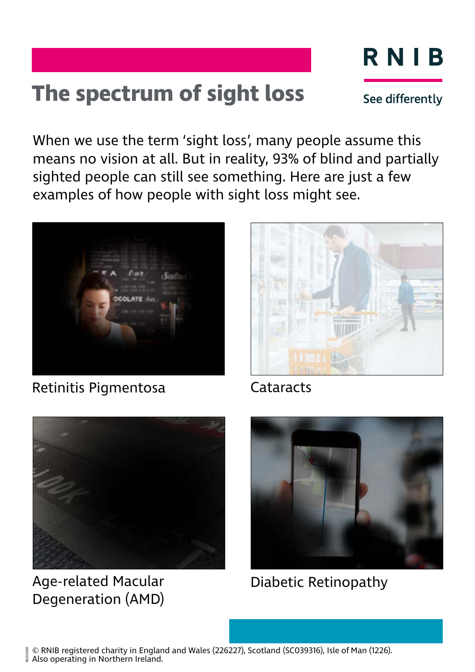

# **The spectrum of sight loss**

See differently

When we use the term 'sight loss', many people assume this means no vision at all. But in reality, 93% of blind and partially sighted people can still see something. Here are just a few examples of how people with sight loss might see.



Retinitis Pigmentosa



**Cataracts** 



Age-related Macular Degeneration (AMD)



Diabetic Retinopathy

RE200609 © RNIB registered charity in England and Wales (226227), Scotland (SC039316), Isle of Man (1226). Also operating in Northern Ireland.